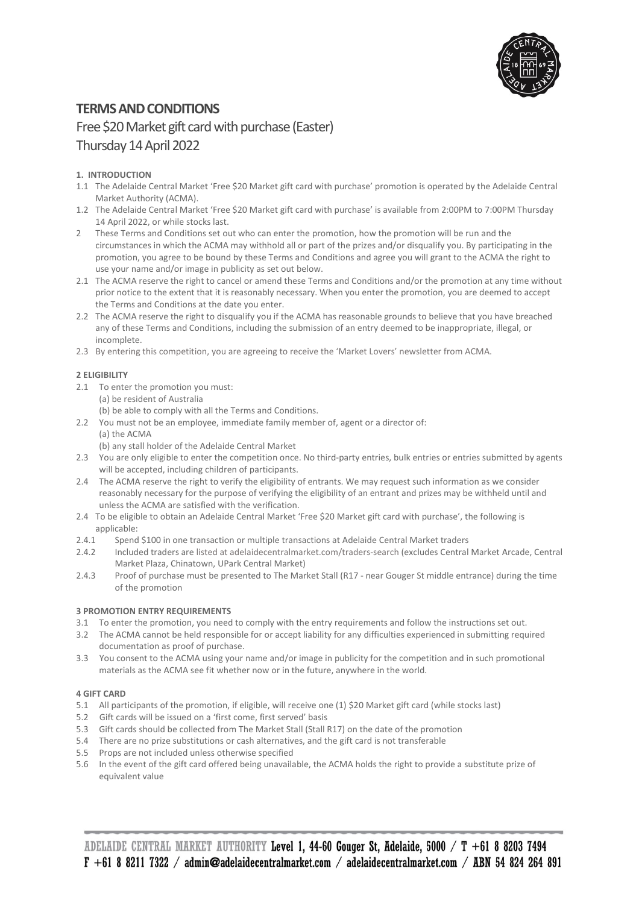

# **TERMS AND CONDITIONS**

# Free \$20Market gift card with purchase(Easter) Thursday14 April 2022

# **1. INTRODUCTION**

- 1.1 The Adelaide Central Market 'Free \$20 Market gift card with purchase' promotion is operated by the Adelaide Central Market Authority (ACMA).
- 1.2 The Adelaide Central Market 'Free \$20 Market gift card with purchase' is available from 2:00PM to 7:00PM Thursday 14 April 2022, or while stocks last.
- 2 These Terms and Conditions set out who can enter the promotion, how the promotion will be run and the circumstances in which the ACMA may withhold all or part of the prizes and/or disqualify you. By participating in the promotion, you agree to be bound by these Terms and Conditions and agree you will grant to the ACMA the right to use your name and/or image in publicity as set out below.
- 2.1 The ACMA reserve the right to cancel or amend these Terms and Conditions and/or the promotion at any time without prior notice to the extent that it is reasonably necessary. When you enter the promotion, you are deemed to accept the Terms and Conditions at the date you enter.
- 2.2 The ACMA reserve the right to disqualify you if the ACMA has reasonable grounds to believe that you have breached any of these Terms and Conditions, including the submission of an entry deemed to be inappropriate, illegal, or incomplete.
- 2.3 By entering this competition, you are agreeing to receive the 'Market Lovers' newsletter from ACMA.

# **2 ELIGIBILITY**

- 2.1 To enter the promotion you must:
	- (a) be resident of Australia
	- (b) be able to comply with all the Terms and Conditions.
- 2.2 You must not be an employee, immediate family member of, agent or a director of: (a) the ACMA
	- (b) any stall holder of the Adelaide Central Market
- 2.3 You are only eligible to enter the competition once. No third-party entries, bulk entries or entries submitted by agents will be accepted, including children of participants.
- 2.4 The ACMA reserve the right to verify the eligibility of entrants. We may request such information as we consider reasonably necessary for the purpose of verifying the eligibility of an entrant and prizes may be withheld until and unless the ACMA are satisfied with the verification.
- 2.4 To be eligible to obtain an Adelaide Central Market 'Free \$20 Market gift card with purchase', the following is applicable:<br>2.4.1 Spend
- 2.4.1 Spend \$100 in one transaction or multiple transactions at Adelaide Central Market traders
- 2.4.2 Included traders are listed at adelaidecentralmarket.com/traders-search (excludes Central Market Arcade, Central Market Plaza, Chinatown, UPark Central Market)
- 2.4.3 Proof of purchase must be presented to The Market Stall (R17 near Gouger St middle entrance) during the time of the promotion

# **3 PROMOTION ENTRY REQUIREMENTS**

- 3.1 To enter the promotion, you need to comply with the entry requirements and follow the instructions set out.
- 3.2 The ACMA cannot be held responsible for or accept liability for any difficulties experienced in submitting required documentation as proof of purchase.
- 3.3 You consent to the ACMA using your name and/or image in publicity for the competition and in such promotional materials as the ACMA see fit whether now or in the future, anywhere in the world.

# **4 GIFT CARD**

- 5.1 All participants of the promotion, if eligible, will receive one (1) \$20 Market gift card (while stocks last)
- 5.2 Gift cards will be issued on a 'first come, first served' basis
- 5.3 Gift cards should be collected from The Market Stall (Stall R17) on the date of the promotion
- 5.4 There are no prize substitutions or cash alternatives, and the gift card is not transferable
- 5.5 Props are not included unless otherwise specified
- 5.6 In the event of the gift card offered being unavailable, the ACMA holds the right to provide a substitute prize of equivalent value